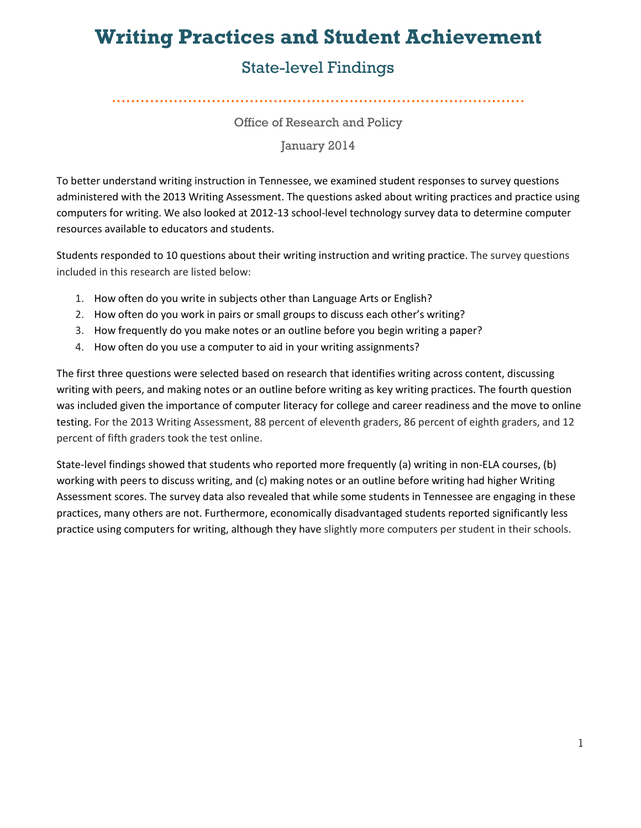# **Writing Practices and Student Achievement**

# State-level Findings

Office of Research and Policy

**Office of Research and Policy** .......................................................................................

January 2014

To better understand writing instruction in Tennessee, we examined student responses to survey questions administered with the 2013 Writing Assessment. The questions asked about writing practices and practice using computers for writing. We also looked at 2012-13 school-level technology survey data to determine computer resources available to educators and students.

Students responded to 10 questions about their writing instruction and writing practice. The survey questions included in this research are listed below:

- 1. How often do you write in subjects other than Language Arts or English?
- 2. How often do you work in pairs or small groups to discuss each other's writing?
- 3. How frequently do you make notes or an outline before you begin writing a paper?
- 4. How often do you use a computer to aid in your writing assignments?

The first three questions were selected based on research that identifies writing across content, discussing writing with peers, and making notes or an outline before writing as key writing practices. The fourth question was included given the importance of computer literacy for college and career readiness and the move to online testing. For the 2013 Writing Assessment, 88 percent of eleventh graders, 86 percent of eighth graders, and 12 percent of fifth graders took the test online.

State-level findings showed that students who reported more frequently (a) writing in non-ELA courses, (b) working with peers to discuss writing, and (c) making notes or an outline before writing had higher Writing Assessment scores. The survey data also revealed that while some students in Tennessee are engaging in these practices, many others are not. Furthermore, economically disadvantaged students reported significantly less practice using computers for writing, although they have slightly more computers per student in their schools.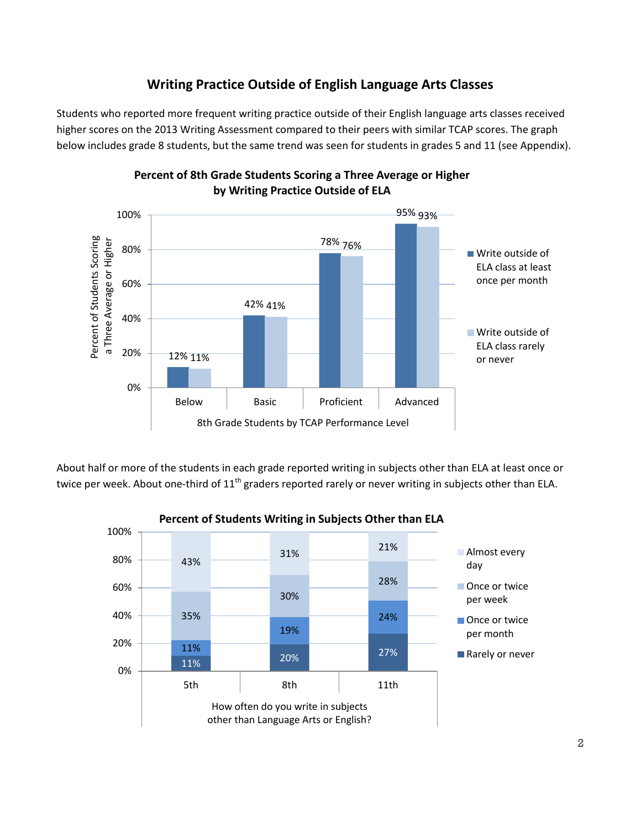# **Writing Practice Outside of English Language Arts Classes**

Students who reported more frequent writing practice outside of their English language arts classes received higher scores on the 2013 Writing Assessment compared to their peers with similar TCAP scores. The graph below includes grade 8 students, but the same trend was seen for students in grades 5 and 11 (see Appendix).



### **Percent of 8th Grade Students Scoring a Three Average or Higher by Writing Practice Outside of ELA**

About half or more of the students in each grade reported writing in subjects other than ELA at least once or twice per week. About one-third of  $11<sup>th</sup>$  graders reported rarely or never writing in subjects other than ELA.

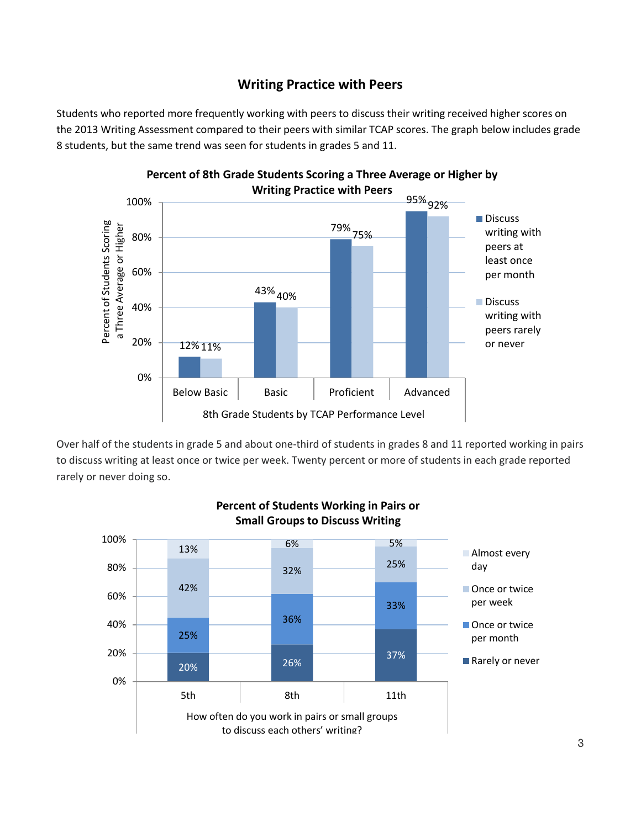# **Writing Practice with Peers**

Students who reported more frequently working with peers to discuss their writing received higher scores on the 2013 Writing Assessment compared to their peers with similar TCAP scores. The graph below includes grade 8 students, but the same trend was seen for students in grades 5 and 11.



Over half of the students in grade 5 and about one-third of students in grades 8 and 11 reported working in pairs to discuss writing at least once or twice per week. Twenty percent or more of students in each grade reported rarely or never doing so.



#### **Percent of Students Working in Pairs or Small Groups to Discuss Writing**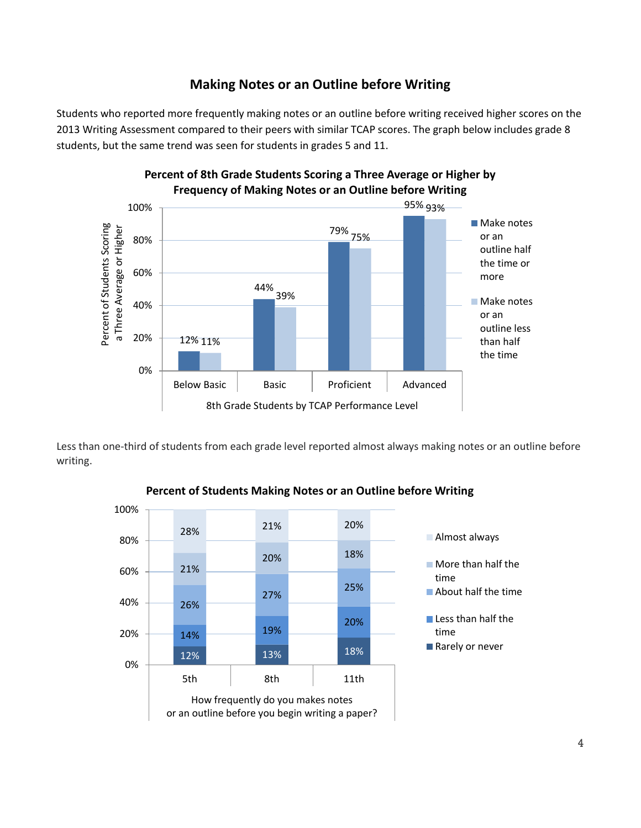# **Making Notes or an Outline before Writing**

Students who reported more frequently making notes or an outline before writing received higher scores on the 2013 Writing Assessment compared to their peers with similar TCAP scores. The graph below includes grade 8 students, but the same trend was seen for students in grades 5 and 11.



Less than one-third of students from each grade level reported almost always making notes or an outline before writing.



**Percent of Students Making Notes or an Outline before Writing**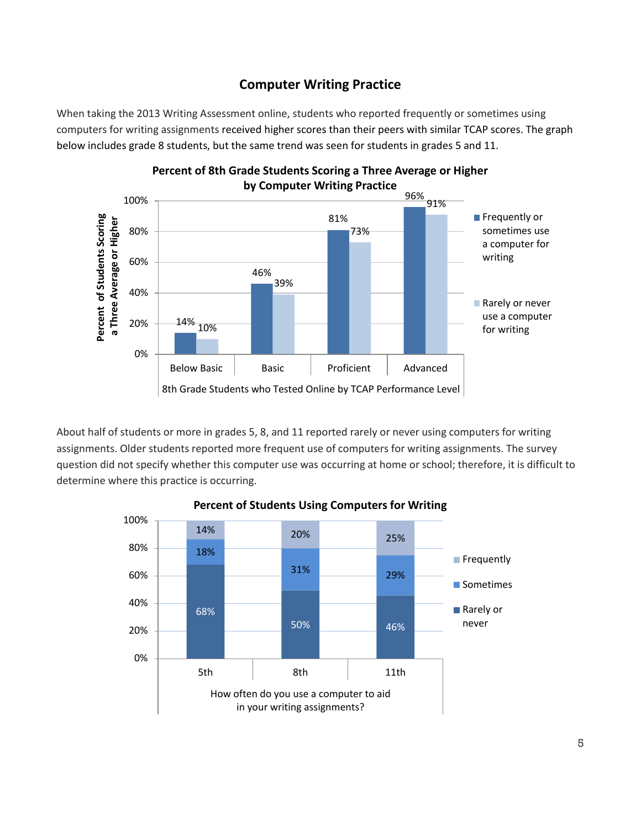# **Computer Writing Practice**

When taking the 2013 Writing Assessment online, students who reported frequently or sometimes using computers for writing assignments received higher scores than their peers with similar TCAP scores. The graph below includes grade 8 students, but the same trend was seen for students in grades 5 and 11.



**Percent of 8th Grade Students Scoring a Three Average or Higher** 

About half of students or more in grades 5, 8, and 11 reported rarely or never using computers for writing assignments. Older students reported more frequent use of computers for writing assignments. The survey question did not specify whether this computer use was occurring at home or school; therefore, it is difficult to determine where this practice is occurring.



#### **Percent of Students Using Computers for Writing**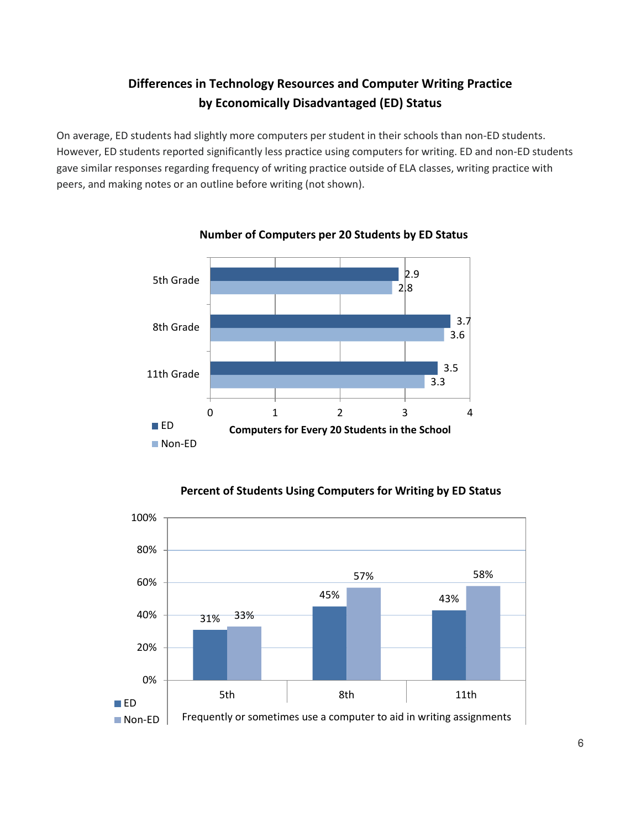# **Differences in Technology Resources and Computer Writing Practice by Economically Disadvantaged (ED) Status**

On average, ED students had slightly more computers per student in their schools than non-ED students. However, ED students reported significantly less practice using computers for writing. ED and non-ED students gave similar responses regarding frequency of writing practice outside of ELA classes, writing practice with peers, and making notes or an outline before writing (not shown).



#### **Number of Computers per 20 Students by ED Status**



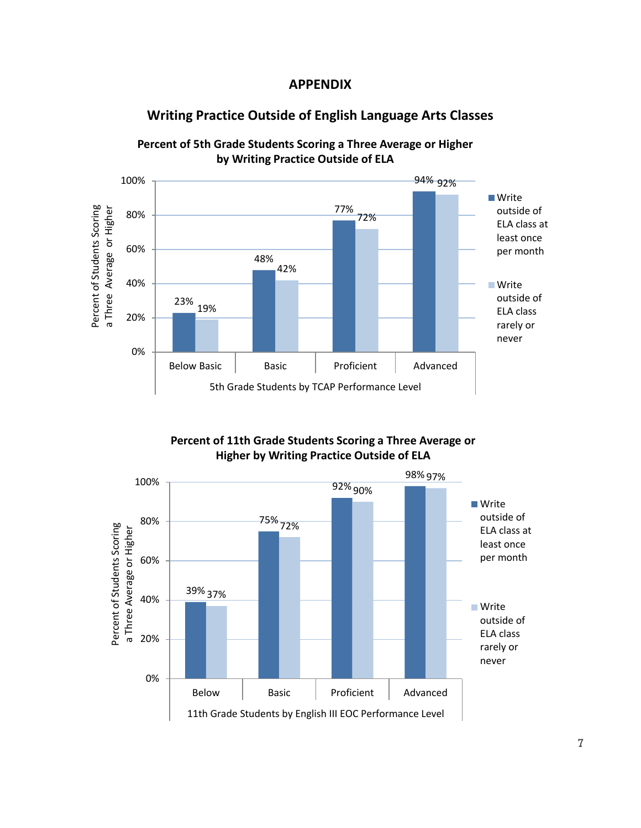

### **Writing Practice Outside of English Language Arts Classes**



**Percent of 5th Grade Students Scoring a Three Average or Higher by Writing Practice Outside of ELA**

**Percent of 11th Grade Students Scoring a Three Average or Higher by Writing Practice Outside of ELA**

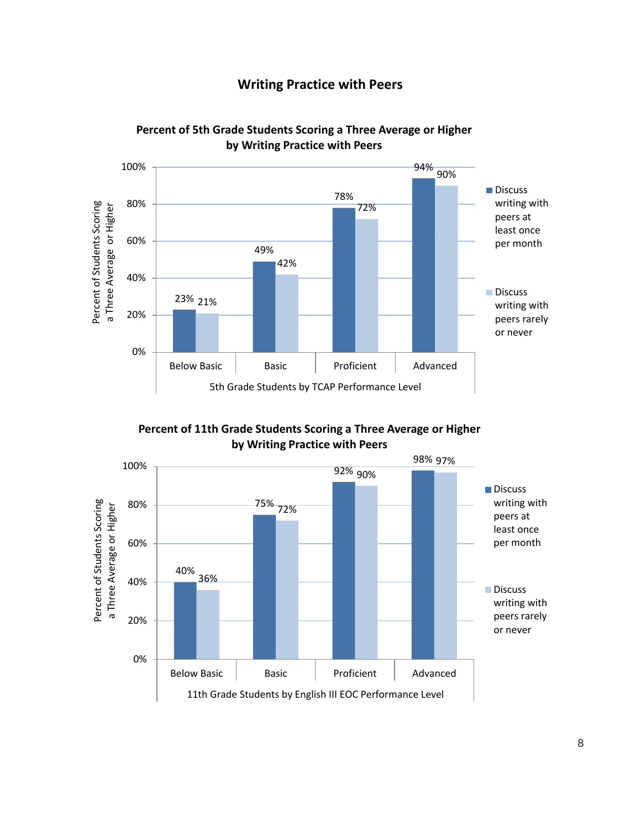# **Writing Practice with Peers**



**Percent of 5th Grade Students Scoring a Three Average or Higher by Writing Practice with Peers**

**Percent of 11th Grade Students Scoring a Three Average or Higher by Writing Practice with Peers**

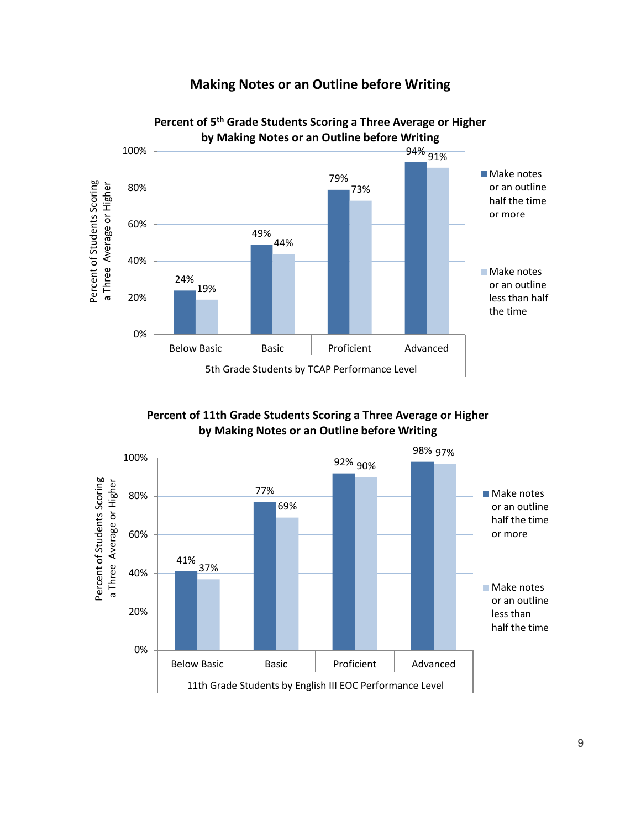**Making Notes or an Outline before Writing**



**Percent of 11th Grade Students Scoring a Three Average or Higher by Making Notes or an Outline before Writing**